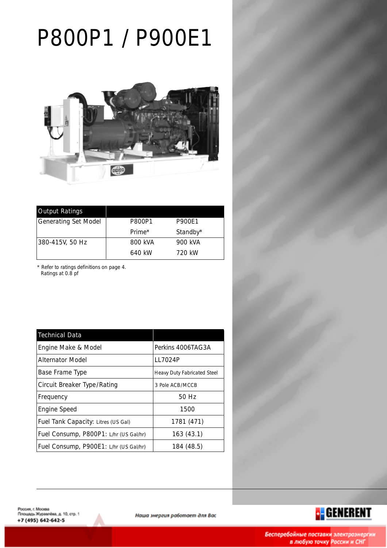# P800P1 / P900E1



| <b>Output Ratings</b>       |                    |               |
|-----------------------------|--------------------|---------------|
| <b>Generating Set Model</b> | P800P1             | <b>P900E1</b> |
|                             | Prime <sup>*</sup> | Standby*      |
| 380-415V, 50 Hz             | 800 kVA            | 900 kVA       |
|                             | 640 kW             | 720 kW        |

\* Refer to ratings definitions on page 4. Ratings at 0.8 pf

| <b>Technical Data</b>                  |                                    |
|----------------------------------------|------------------------------------|
| Engine Make & Model                    | Perkins 4006TAG3A                  |
| <b>Alternator Model</b>                | LL7024P                            |
| Base Frame Type                        | <b>Heavy Duty Fabricated Steel</b> |
| <b>Circuit Breaker Type/Rating</b>     | 3 Pole ACB/MCCB                    |
| Frequency                              | 50 Hz                              |
| <b>Engine Speed</b>                    | 1500                               |
| Fuel Tank Capacity: Litres (US Gal)    | 1781 (471)                         |
| Fuel Consump, P800P1: L/hr (US Gal/hr) | 163(43.1)                          |
| Fuel Consump, P900E1: L/hr (US Gal/hr) | 184 (48.5)                         |



<mark>:</mark> GENERENT

Наша энергия работает для Вас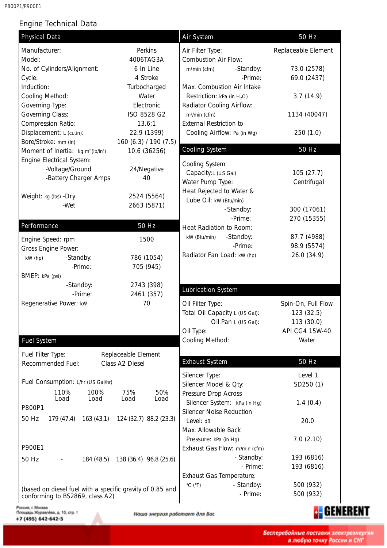P800P1/P900E1

# Engine Technical Data

| <b>Physical Data</b>                                                                         |                                   | <b>Air System</b>                            | 50 Hz                |  |
|----------------------------------------------------------------------------------------------|-----------------------------------|----------------------------------------------|----------------------|--|
| Manufacturer:                                                                                | Perkins                           | Air Filter Type:                             | Replaceable Element  |  |
| Model:                                                                                       | 4006TAG3A                         | <b>Combustion Air Flow:</b>                  |                      |  |
| No. of Cylinders/Alignment:                                                                  | 6 In Line                         | -Standby:<br>m <sup>3</sup> min (cfm)        | 73.0 (2578)          |  |
| Cycle:                                                                                       | 4 Stroke                          | -Prime:                                      | 69.0 (2437)          |  |
| Induction:                                                                                   | Turbocharged                      | Max. Combustion Air Intake                   |                      |  |
| Cooling Method:                                                                              | Water                             | Restriction: kPa (in $H_2O$ )                | 3.7(14.9)            |  |
| Governing Type:                                                                              | Electronic                        | Radiator Cooling Airflow:                    |                      |  |
| <b>Governing Class:</b>                                                                      | ISO 8528 G2                       | m <sup>3</sup> /min (cfm)                    | 1134 (40047)         |  |
| Compression Ratio:                                                                           | 13.6:1                            | <b>External Restriction to</b>               |                      |  |
| Displacement: L (cu.in):                                                                     | 22.9 (1399)                       | Cooling Airflow: Pa (in Wg)<br>250(1.0)      |                      |  |
| Bore/Stroke: mm (in)                                                                         | 160 (6.3) / 190 (7.5)             |                                              |                      |  |
| Moment of Inertia: kg m <sup>2</sup> (lb/in <sup>2</sup> )                                   | 10.6 (36256)                      | <b>Cooling System</b>                        | 50 Hz                |  |
| Engine Electrical System:                                                                    |                                   |                                              |                      |  |
| -Voltage/Ground                                                                              | 24/Negative                       | Cooling System                               |                      |  |
| -Battery Charger Amps                                                                        | 40                                | Capacity:L (US Gal)                          | 105(27.7)            |  |
|                                                                                              |                                   | Water Pump Type:<br>Heat Rejected to Water & | Centrifugal          |  |
| Weight: kg (lbs) -Dry                                                                        | 2524 (5564)                       | Lube Oil: kW (Btu/min)                       |                      |  |
| -Wet                                                                                         | 2663 (5871)                       | -Standby:                                    | 300 (17061)          |  |
|                                                                                              |                                   | -Prime:                                      | 270 (15355)          |  |
| Performance                                                                                  | 50 Hz                             | Heat Radiation to Room:                      |                      |  |
|                                                                                              |                                   | -Standby:<br>kW (Btu/min)                    | 87.7 (4988)          |  |
| Engine Speed: rpm                                                                            | 1500                              | -Prime:                                      | 98.9 (5574)          |  |
| Gross Engine Power:                                                                          | 786 (1054)                        | Radiator Fan Load: kW (hp)                   | 26.0 (34.9)          |  |
| -Standby:<br>kW (hp)<br>-Prime:                                                              | 705 (945)                         |                                              |                      |  |
| BMEP: kPa (psi)                                                                              |                                   |                                              |                      |  |
| -Standby:                                                                                    | 2743 (398)                        |                                              |                      |  |
| -Prime:                                                                                      | 2461 (357)                        | <b>Lubrication System</b>                    |                      |  |
| Regenerative Power: kw                                                                       | 70                                | Oil Filter Type:                             | Spin-On, Full Flow   |  |
|                                                                                              |                                   | Total Oil Capacity L (US Gal):               | 123 (32.5)           |  |
|                                                                                              |                                   | Oil Pan L (US Gal):                          | 113 (30.0)           |  |
|                                                                                              |                                   | Oil Type:                                    | API CG4 15W-40       |  |
| <b>Fuel System</b>                                                                           |                                   | Cooling Method:                              | Water                |  |
| Fuel Filter Type:                                                                            | Replaceable Element               |                                              |                      |  |
| Recommended Fuel:                                                                            | Class A2 Diesel                   | <b>Exhaust System</b>                        | 50 Hz                |  |
|                                                                                              |                                   |                                              |                      |  |
| Fuel Consumption: L/hr (US Gal/hr)                                                           |                                   | Silencer Type:<br>Silencer Model & Qty:      | Level 1<br>SD250 (1) |  |
| 110%<br>100%                                                                                 | 75%<br>50%                        | Pressure Drop Across                         |                      |  |
| Load<br>Load                                                                                 | Load<br>Load                      | Silencer System: kPa (in Hg)                 | 1.4(0.4)             |  |
| P800P1                                                                                       |                                   | Silencer Noise Reduction                     |                      |  |
| 50 Hz<br>179 (47.4)                                                                          | 163 (43.1) 124 (32.7) 88.2 (23.3) | Level: dB                                    | 20.0                 |  |
|                                                                                              |                                   | Max. Allowable Back                          |                      |  |
|                                                                                              |                                   | Pressure: kPa (in Hg)                        | 7.0(2.10)            |  |
| P900E1                                                                                       |                                   | Exhaust Gas Flow: m <sup>3</sup> min (cfm)   |                      |  |
| 50 Hz                                                                                        | 184 (48.5) 138 (36.4) 96.8 (25.6) | - Standby:                                   | 193 (6816)           |  |
|                                                                                              |                                   | - Prime:                                     | 193 (6816)           |  |
|                                                                                              |                                   | Exhaust Gas Temperature:                     |                      |  |
|                                                                                              |                                   | - Standby:<br>$^{\circ}$ C ( $^{\circ}$ F)   | 500 (932)            |  |
| (based on diesel fuel with a specific gravity of 0.85 and<br>conforming to BS2869, class A2) |                                   | - Prime:                                     | 500 (932)            |  |
|                                                                                              |                                   |                                              |                      |  |

Россия, г. Москва<br>Площадь Журавлёва, д. 10, стр. 1 +7 (495) 642-642-5

Наша энергия работает для Вас

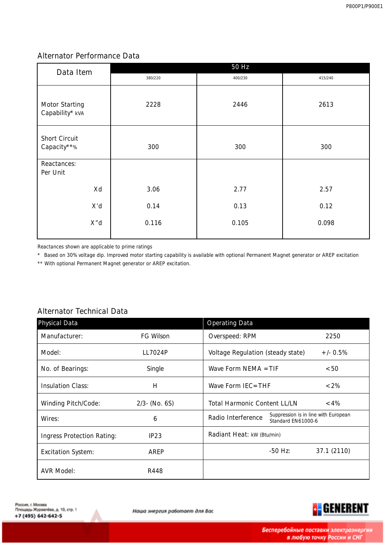### Alternator Performance Data

| Data Item                                | 50 Hz   |         |         |  |
|------------------------------------------|---------|---------|---------|--|
|                                          | 380/220 | 400/230 | 415/240 |  |
| <b>Motor Starting</b><br>Capability* kVA | 2228    | 2446    | 2613    |  |
| <b>Short Circuit</b><br>Capacity**%      | 300     | 300     | 300     |  |
| Reactances:<br>Per Unit                  |         |         |         |  |
| Xd                                       | 3.06    | 2.77    | 2.57    |  |
| X'd                                      | 0.14    | 0.13    | 0.12    |  |
| X"d                                      | 0.116   | 0.105   | 0.098   |  |
|                                          |         |         |         |  |

Reactances shown are applicable to prime ratings

\* Based on 30% voltage dip. Improved motor starting capability is available with optional Permanent Magnet generator or AREP excitation

\*\* With optional Permanent Magnet generator or AREP excitation.

# Alternator Technical Data

| <b>Physical Data</b>              |                  | <b>Operating Data</b>                                                                   |         |             |
|-----------------------------------|------------------|-----------------------------------------------------------------------------------------|---------|-------------|
| Manufacturer:                     | FG Wilson        | Overspeed: RPM                                                                          |         |             |
| Model:                            | LL7024P          | <b>Voltage Regulation (steady state)</b>                                                |         | $+/- 0.5%$  |
| No. of Bearings:                  | Single           | Wave Form NEMA $=$ TIF                                                                  |         | < 50        |
| <b>Insulation Class:</b>          | H                | Wave Form $IEC = THE$                                                                   |         | $<2\%$      |
| <b>Winding Pitch/Code:</b>        | $2/3$ - (No. 6S) | <b>Total Harmonic Content LL/LN</b><br>$< 4\%$                                          |         |             |
| Wires:                            | 6                | Suppression is in line with European<br><b>Radio Interference</b><br>Standard EN61000-6 |         |             |
| <b>Ingress Protection Rating:</b> | IP23             | Radiant Heat: kW (Btu/min)                                                              |         |             |
| <b>Excitation System:</b>         | AREP             |                                                                                         | -50 Hz: | 37.1 (2110) |
| <b>AVR Model:</b>                 | R448             |                                                                                         |         |             |